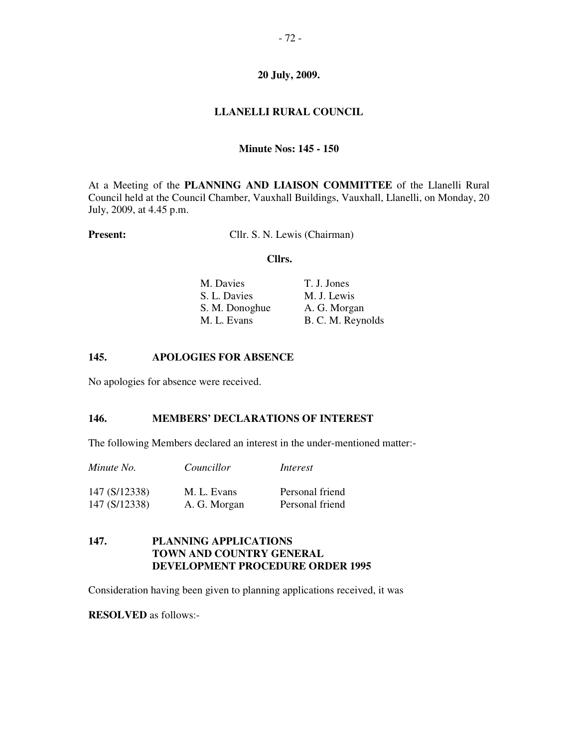# **LLANELLI RURAL COUNCIL**

## **Minute Nos: 145 - 150**

At a Meeting of the **PLANNING AND LIAISON COMMITTEE** of the Llanelli Rural Council held at the Council Chamber, Vauxhall Buildings, Vauxhall, Llanelli, on Monday, 20 July, 2009, at 4.45 p.m.

**Present:** Cllr. S. N. Lewis (Chairman)

#### **Cllrs.**

| M. Davies      | T. J. Jones       |
|----------------|-------------------|
| S. L. Davies   | M. J. Lewis       |
| S. M. Donoghue | A. G. Morgan      |
| M. L. Evans    | B. C. M. Reynolds |

#### **145. APOLOGIES FOR ABSENCE**

No apologies for absence were received.

## **146. MEMBERS' DECLARATIONS OF INTEREST**

The following Members declared an interest in the under-mentioned matter:-

*Minute No. Councillor Interest* 

| 147 (S/12338) | M. L. Evans  | Personal friend |
|---------------|--------------|-----------------|
| 147 (S/12338) | A. G. Morgan | Personal friend |

# **147. PLANNING APPLICATIONS TOWN AND COUNTRY GENERAL DEVELOPMENT PROCEDURE ORDER 1995**

Consideration having been given to planning applications received, it was

**RESOLVED** as follows:-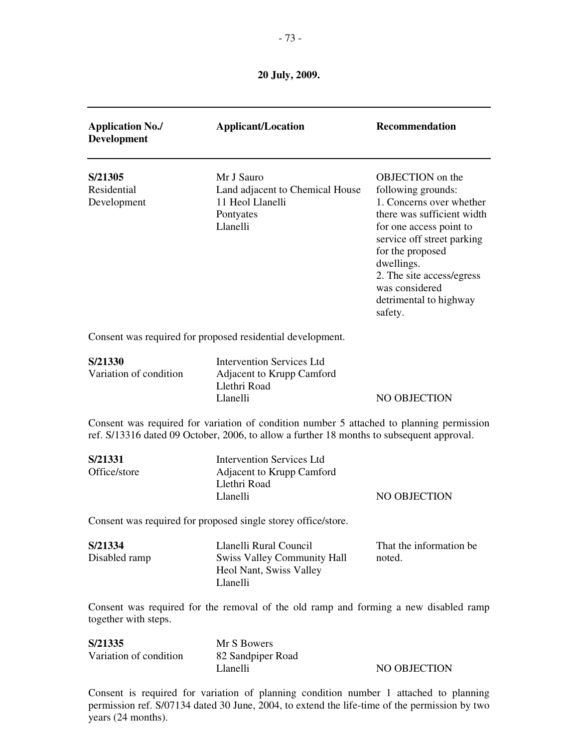| <b>Application No./</b><br><b>Development</b> | <b>Applicant/Location</b>                                                                                                                                                             | Recommendation                                                                                                                                                                                                                                                                  |
|-----------------------------------------------|---------------------------------------------------------------------------------------------------------------------------------------------------------------------------------------|---------------------------------------------------------------------------------------------------------------------------------------------------------------------------------------------------------------------------------------------------------------------------------|
| S/21305<br>Residential<br>Development         | Mr J Sauro<br>Land adjacent to Chemical House<br>11 Heol Llanelli<br>Pontyates<br>Llanelli                                                                                            | OBJECTION on the<br>following grounds:<br>1. Concerns over whether<br>there was sufficient width<br>for one access point to<br>service off street parking<br>for the proposed<br>dwellings.<br>2. The site access/egress<br>was considered<br>detrimental to highway<br>safety. |
|                                               | Consent was required for proposed residential development.                                                                                                                            |                                                                                                                                                                                                                                                                                 |
| S/21330<br>Variation of condition             | <b>Intervention Services Ltd</b><br>Adjacent to Krupp Camford<br>Llethri Road<br>Llanelli                                                                                             | NO OBJECTION                                                                                                                                                                                                                                                                    |
|                                               | Consent was required for variation of condition number 5 attached to planning permission<br>ref. S/13316 dated 09 October, 2006, to allow a further 18 months to subsequent approval. |                                                                                                                                                                                                                                                                                 |
| S/21331<br>Office/store                       | <b>Intervention Services Ltd</b><br>Adjacent to Krupp Camford<br>Llethri Road<br>Llanelli                                                                                             | NO OBJECTION                                                                                                                                                                                                                                                                    |
|                                               | Consent was required for proposed single storey office/store.                                                                                                                         |                                                                                                                                                                                                                                                                                 |
| S/21334<br>Disabled ramp                      | Llanelli Rural Council<br><b>Swiss Valley Community Hall</b><br>Heol Nant, Swiss Valley<br>Llanelli                                                                                   | That the information be<br>noted.                                                                                                                                                                                                                                               |
| together with steps.                          | Consent was required for the removal of the old ramp and forming a new disabled ramp                                                                                                  |                                                                                                                                                                                                                                                                                 |
| S/21335<br>Variation of condition             | Mr S Bowers<br>82 Sandpiper Road<br>Llanelli                                                                                                                                          | NO OBJECTION                                                                                                                                                                                                                                                                    |

Consent is required for variation of planning condition number 1 attached to planning permission ref. S/07134 dated 30 June, 2004, to extend the life-time of the permission by two years (24 months).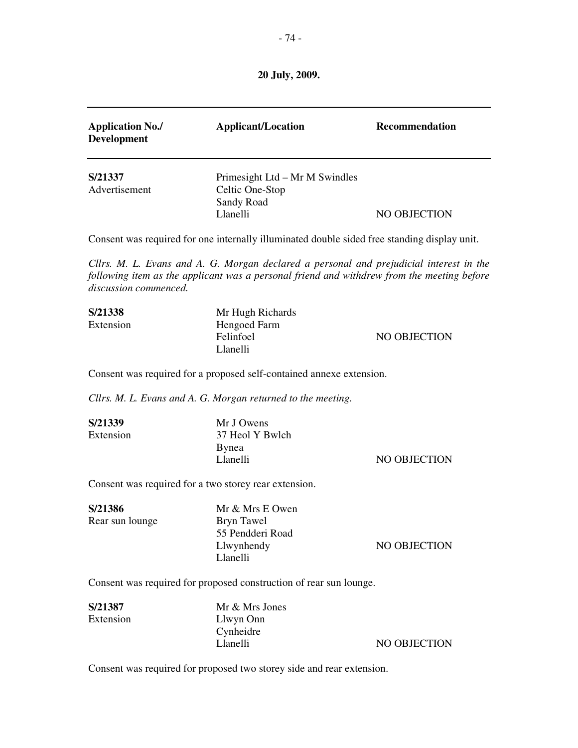| <b>Application No./</b><br><b>Development</b> | <b>Applicant/Location</b>                                                   | <b>Recommendation</b> |
|-----------------------------------------------|-----------------------------------------------------------------------------|-----------------------|
| S/21337<br>Advertisement                      | Primesight Ltd – Mr M Swindles<br>Celtic One-Stop<br>Sandy Road<br>Llanelli | NO OBJECTION          |

Consent was required for one internally illuminated double sided free standing display unit.

*Cllrs. M. L. Evans and A. G. Morgan declared a personal and prejudicial interest in the following item as the applicant was a personal friend and withdrew from the meeting before discussion commenced.* 

| S/21338   | Mr Hugh Richards |              |
|-----------|------------------|--------------|
| Extension | Hengoed Farm     |              |
|           | Felinfoel        | NO OBJECTION |
|           | Llanelli         |              |

Consent was required for a proposed self-contained annexe extension.

*Cllrs. M. L. Evans and A. G. Morgan returned to the meeting.* 

| S/21339   | Mr J Owens      |              |
|-----------|-----------------|--------------|
| Extension | 37 Heol Y Bwlch |              |
|           | <b>B</b> ynea   |              |
|           | Llanelli        | NO OBJECTION |
|           |                 |              |

Consent was required for a two storey rear extension.

| S/21386         | Mr & Mrs E Owen  |              |
|-----------------|------------------|--------------|
| Rear sun lounge | Bryn Tawel       |              |
|                 | 55 Pendderi Road |              |
|                 | Llwynhendy       | NO OBJECTION |
|                 | Llanelli         |              |

Consent was required for proposed construction of rear sun lounge.

| S/21387   | Mr & Mrs Jones |              |
|-----------|----------------|--------------|
| Extension | Llwyn Onn      |              |
|           | Cynheidre      |              |
|           | Llanelli       | NO OBJECTION |
|           |                |              |

Consent was required for proposed two storey side and rear extension.